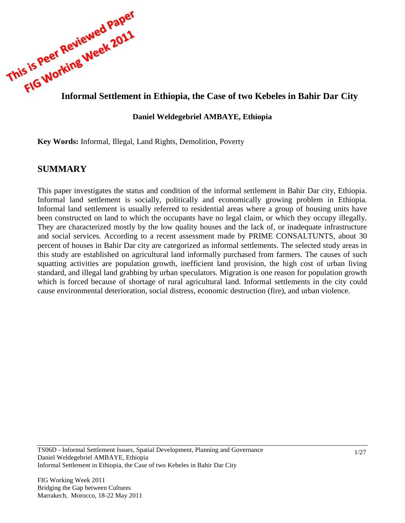

### **Daniel Weldegebriel AMBAYE, Ethiopia**

**Key Words:** Informal, Illegal, Land Rights, Demolition, Poverty

# **SUMMARY**

This paper investigates the status and condition of the informal settlement in Bahir Dar city, Ethiopia. Informal land settlement is socially, politically and economically growing problem in Ethiopia. Informal land settlement is usually referred to residential areas where a group of housing units have been constructed on land to which the occupants have no legal claim, or which they occupy illegally. They are characterized mostly by the low quality houses and the lack of, or inadequate infrastructure and social services. According to a recent assessment made by PRIME CONSALTUNTS, about 30 percent of houses in Bahir Dar city are categorized as informal settlements. The selected study areas in this study are established on agricultural land informally purchased from farmers. The causes of such squatting activities are population growth, inefficient land provision, the high cost of urban living standard, and illegal land grabbing by urban speculators. Migration is one reason for population growth which is forced because of shortage of rural agricultural land. Informal settlements in the city could cause environmental deterioration, social distress, economic destruction (fire), and urban violence.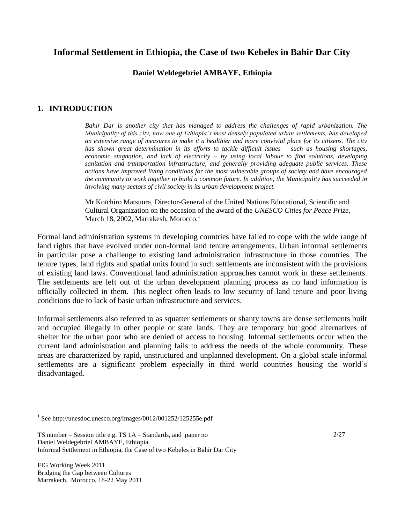# **Informal Settlement in Ethiopia, the Case of two Kebeles in Bahir Dar City**

### **Daniel Weldegebriel AMBAYE, Ethiopia**

### **1. INTRODUCTION**

*Bahir Dar is another city that has managed to address the challenges of rapid urbanization. The Municipality of this city, now one of Ethiopia's most densely populated urban settlements, has developed an extensive range of measures to make it a healthier and more convivial place for its citizens. The city has shown great determination in its efforts to tackle difficult issues – such as housing shortages, economic stagnation, and lack of electricity – by using local labour to find solutions, developing sanitation and transportation infrastructure, and generally providing adequate public services. These actions have improved living conditions for the most vulnerable groups of society and have encouraged the community to work together to build a common future. In addition, the Municipality has succeeded in involving many sectors of civil society in its urban development project.*

Mr Koïchiro Matsuura, Director-General of the United Nations Educational, Scientific and Cultural Organization on the occasion of the award of the *UNESCO Cities for Peace Prize,*  March 18, 2002, Marrakesh, Morocco.<sup>1</sup>

Formal land administration systems in developing countries have failed to cope with the wide range of land rights that have evolved under non-formal land tenure arrangements. Urban informal settlements in particular pose a challenge to existing land administration infrastructure in those countries. The tenure types, land rights and spatial units found in such settlements are inconsistent with the provisions of existing land laws. Conventional land administration approaches cannot work in these settlements. The settlements are left out of the urban development planning process as no land information is officially collected in them. This neglect often leads to low security of land tenure and poor living conditions due to lack of basic urban infrastructure and services.

Informal settlements also referred to as squatter settlements or shanty towns are dense settlements built and occupied illegally in other people or state lands. They are temporary but good alternatives of shelter for the urban poor who are denied of access to housing. Informal settlements occur when the current land administration and planning fails to address the needs of the whole community. These areas are characterized by rapid, unstructured and unplanned development. On a global scale informal settlements are a significant problem especially in third world countries housing the world"s disadvantaged.

FIG Working Week 2011 Bridging the Gap between Cultures Marrakech, Morocco, 18-22 May 2011

 $\overline{a}$ 

2/27

<sup>&</sup>lt;sup>1</sup> See http://unesdoc.unesco.org/images/0012/001252/125255e.pdf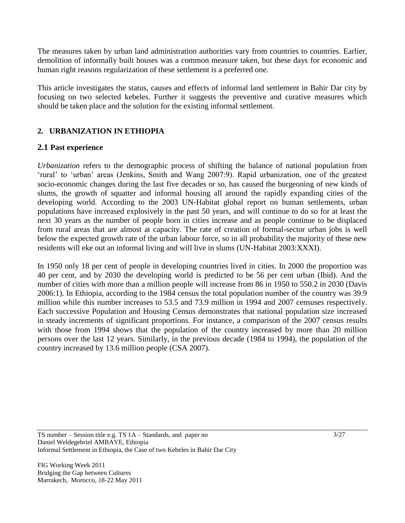The measures taken by urban land administration authorities vary from countries to countries. Earlier, demolition of informally built houses was a common measure taken, but these days for economic and human right reasons regularization of these settlement is a preferred one.

This article investigates the status, causes and effects of informal land settlement in Bahir Dar city by focusing on two selected kebeles. Further it suggests the preventive and curative measures which should be taken place and the solution for the existing informal settlement.

# **2. URBANIZATION IN ETHIOPIA**

# **2.1 Past experience**

*Urbanization* refers to the demographic process of shifting the balance of national population from 'rural' to 'urban' areas (Jenkins, Smith and Wang 2007:9). Rapid urbanization, one of the greatest socio-economic changes during the last five decades or so, has caused the burgeoning of new kinds of slums, the growth of squatter and informal housing all around the rapidly expanding cities of the developing world. According to the 2003 UN-Habitat global report on human settlements, urban populations have increased explosively in the past 50 years, and will continue to do so for at least the next 30 years as the number of people born in cities increase and as people continue to be displaced from rural areas that are almost at capacity. The rate of creation of formal-sector urban jobs is well below the expected growth rate of the urban labour force, so in all probability the majority of these new residents will eke out an informal living and will live in slums (UN-Habitat 2003:XXXI).

In 1950 only 18 per cent of people in developing countries lived in cities. In 2000 the proportion was 40 per cent, and by 2030 the developing world is predicted to be 56 per cent urban (Ibid). And the number of cities with more than a million people will increase from 86 in 1950 to 550.2 in 2030 (Davis 2006:1). In Ethiopia, according to the 1984 census the total population number of the country was 39.9 million while this number increases to 53.5 and 73.9 million in 1994 and 2007 censuses respectively. Each successive Population and Housing Census demonstrates that national population size increased in steady increments of significant proportions. For instance, a comparison of the 2007 census results with those from 1994 shows that the population of the country increased by more than 20 million persons over the last 12 years. Similarly, in the previous decade (1984 to 1994), the population of the country increased by 13.6 million people (CSA 2007).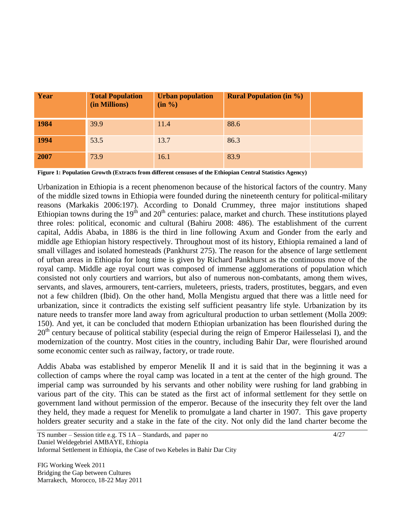| Year | <b>Total Population</b><br>(in Millions) | <b>Urban population</b><br>(in %) | <b>Rural Population (in %)</b> |  |
|------|------------------------------------------|-----------------------------------|--------------------------------|--|
| 1984 | 39.9                                     | 11.4                              | 88.6                           |  |
| 1994 | 53.5                                     | 13.7                              | 86.3                           |  |
| 2007 | 73.9                                     | 16.1                              | 83.9                           |  |

**Figure 1: Population Growth (Extracts from different censuses of the Ethiopian Central Statistics Agency)**

Urbanization in Ethiopia is a recent phenomenon because of the historical factors of the country. Many of the middle sized towns in Ethiopia were founded during the nineteenth century for political-military reasons (Markakis 2006:197). According to Donald Crummey, three major institutions shaped Ethiopian towns during the  $19<sup>th</sup>$  and  $20<sup>th</sup>$  centuries: palace, market and church. These institutions played three roles: political, economic and cultural (Bahiru 2008: 486). The establishment of the current capital, Addis Ababa, in 1886 is the third in line following Axum and Gonder from the early and middle age Ethiopian history respectively. Throughout most of its history, Ethiopia remained a land of small villages and isolated homesteads (Pankhurst 275). The reason for the absence of large settlement of urban areas in Ethiopia for long time is given by Richard Pankhurst as the continuous move of the royal camp. Middle age royal court was composed of immense agglomerations of population which consisted not only courtiers and warriors, but also of numerous non-combatants, among them wives, servants, and slaves, armourers, tent-carriers, muleteers, priests, traders, prostitutes, beggars, and even not a few children (Ibid). On the other hand, Molla Mengistu argued that there was a little need for urbanization, since it contradicts the existing self sufficient peasantry life style. Urbanization by its nature needs to transfer more land away from agricultural production to urban settlement (Molla 2009: 150). And yet, it can be concluded that modern Ethiopian urbanization has been flourished during the 20<sup>th</sup> century because of political stability (especial during the reign of Emperor Hailesselasi I), and the modernization of the country. Most cities in the country, including Bahir Dar, were flourished around some economic center such as railway, factory, or trade route.

Addis Ababa was established by emperor Menelik II and it is said that in the beginning it was a collection of camps where the royal camp was located in a tent at the center of the high ground. The imperial camp was surrounded by his servants and other nobility were rushing for land grabbing in various part of the city. This can be stated as the first act of informal settlement for they settle on government land without permission of the emperor. Because of the insecurity they felt over the land they held, they made a request for Menelik to promulgate a land charter in 1907. This gave property holders greater security and a stake in the fate of the city. Not only did the land charter become the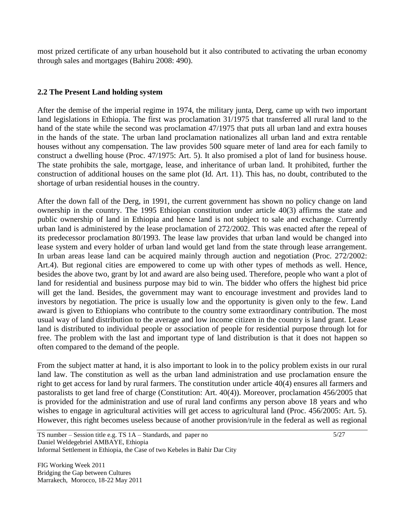most prized certificate of any urban household but it also contributed to activating the urban economy through sales and mortgages (Bahiru 2008: 490).

# **2.2 The Present Land holding system**

After the demise of the imperial regime in 1974, the military junta, Derg, came up with two important land legislations in Ethiopia. The first was proclamation 31/1975 that transferred all rural land to the hand of the state while the second was proclamation 47/1975 that puts all urban land and extra houses in the hands of the state. The urban land proclamation nationalizes all urban land and extra rentable houses without any compensation. The law provides 500 square meter of land area for each family to construct a dwelling house (Proc. 47/1975: Art. 5). It also promised a plot of land for business house. The state prohibits the sale, mortgage, lease, and inheritance of urban land. It prohibited, further the construction of additional houses on the same plot (Id. Art. 11). This has, no doubt, contributed to the shortage of urban residential houses in the country.

After the down fall of the Derg, in 1991, the current government has shown no policy change on land ownership in the country. The 1995 Ethiopian constitution under article 40(3) affirms the state and public ownership of land in Ethiopia and hence land is not subject to sale and exchange. Currently urban land is administered by the lease proclamation of 272/2002. This was enacted after the repeal of its predecessor proclamation 80/1993. The lease law provides that urban land would be changed into lease system and every holder of urban land would get land from the state through lease arrangement. In urban areas lease land can be acquired mainly through auction and negotiation (Proc. 272/2002: Art.4). But regional cities are empowered to come up with other types of methods as well. Hence, besides the above two, grant by lot and award are also being used. Therefore, people who want a plot of land for residential and business purpose may bid to win. The bidder who offers the highest bid price will get the land. Besides, the government may want to encourage investment and provides land to investors by negotiation. The price is usually low and the opportunity is given only to the few. Land award is given to Ethiopians who contribute to the country some extraordinary contribution. The most usual way of land distribution to the average and low income citizen in the country is land grant. Lease land is distributed to individual people or association of people for residential purpose through lot for free. The problem with the last and important type of land distribution is that it does not happen so often compared to the demand of the people.

From the subject matter at hand, it is also important to look in to the policy problem exists in our rural land law. The constitution as well as the urban land administration and use proclamation ensure the right to get access for land by rural farmers. The constitution under article 40(4) ensures all farmers and pastoralists to get land free of charge (Constitution: Art. 40(4)). Moreover, proclamation 456/2005 that is provided for the administration and use of rural land confirms any person above 18 years and who wishes to engage in agricultural activities will get access to agricultural land (Proc. 456/2005: Art. 5). However, this right becomes useless because of another provision/rule in the federal as well as regional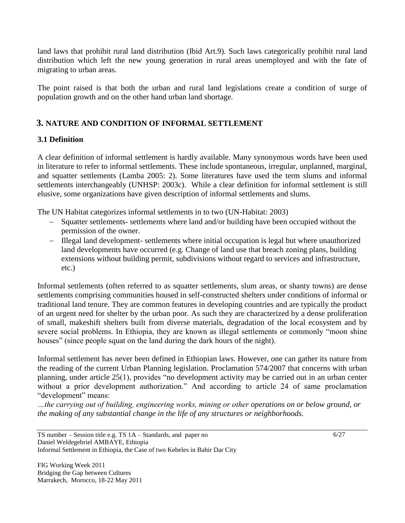land laws that prohibit rural land distribution (Ibid Art.9). Such laws categorically prohibit rural land distribution which left the new young generation in rural areas unemployed and with the fate of migrating to urban areas.

The point raised is that both the urban and rural land legislations create a condition of surge of population growth and on the other hand urban land shortage.

# **3. NATURE AND CONDITION OF INFORMAL SETTLEMENT**

# **3.1 Definition**

A clear definition of informal settlement is hardly available. Many synonymous words have been used in literature to refer to informal settlements. These include spontaneous, irregular, unplanned, marginal, and squatter settlements (Lamba 2005: 2). Some literatures have used the term slums and informal settlements interchangeably (UNHSP: 2003c). While a clear definition for informal settlement is still elusive, some organizations have given description of informal settlements and slums.

The UN Habitat categorizes informal settlements in to two (UN-Habitat: 2003)

- Squatter settlements- settlements where land and/or building have been occupied without the permission of the owner.
- Illegal land development- settlements where initial occupation is legal but where unauthorized land developments have occurred (e.g. Change of land use that breach zoning plans, building extensions without building permit, subdivisions without regard to services and infrastructure, etc.)

Informal settlements (often referred to as squatter settlements, slum areas, or shanty towns) are dense settlements comprising communities housed in self-constructed shelters under conditions of informal or traditional land tenure. They are common features in developing countries and are typically the product of an urgent need for shelter by the urban poor. As such they are characterized by a dense proliferation of small, makeshift shelters built from diverse materials, degradation of the local ecosystem and by severe social problems. In Ethiopia, they are known as illegal settlements or commonly "moon shine houses" (since people squat on the land during the dark hours of the night).

Informal settlement has never been defined in Ethiopian laws. However, one can gather its nature from the reading of the current Urban Planning legislation. Proclamation 574/2007 that concerns with urban planning, under article 25(1), provides "no development activity may be carried out in an urban center without a prior development authorization." And according to article 24 of same proclamation "development" means:

*…the carrying out of building, engineering works, mining or other operations on or below ground, or the making of any substantial change in the life of any structures or neighborhoods.*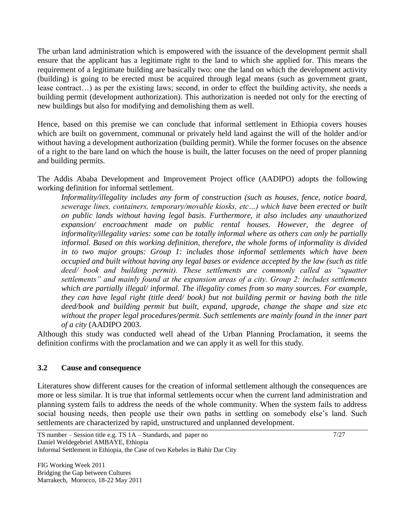The urban land administration which is empowered with the issuance of the development permit shall ensure that the applicant has a legitimate right to the land to which she applied for. This means the requirement of a legitimate building are basically two: one the land on which the development activity (building) is going to be erected must be acquired through legal means (such as government grant, lease contract…) as per the existing laws; second, in order to effect the building activity, she needs a building permit (development authorization). This authorization is needed not only for the erecting of new buildings but also for modifying and demolishing them as well.

Hence, based on this premise we can conclude that informal settlement in Ethiopia covers houses which are built on government, communal or privately held land against the will of the holder and/or without having a development authorization (building permit). While the former focuses on the absence of a right to the bare land on which the house is built, the latter focuses on the need of proper planning and building permits.

The Addis Ababa Development and Improvement Project office (AADIPO) adopts the following working definition for informal settlement.

*Informality/illegality includes any form of construction (such as houses, fence, notice board, sewerage lines, containers, temporary/movable kiosks, etc…) which have been erected or built on public lands without having legal basis. Furthermore, it also includes any unauthorized expansion/ encroachment made on public rental houses. However, the degree of informality/illegality varies: some can be totally informal where as others can only be partially informal. Based on this working definition, therefore, the whole forms of informality is divided in to two major groups: Group 1: includes those informal settlements which have been occupied and built without having any legal bases or evidence accepted by the law (such as title deed/ book and building permit). These settlements are commonly called as "squatter settlements" and mainly found at the expansion areas of a city. Group 2: includes settlements which are partially illegal/ informal. The illegality comes from so many sources. For example, they can have legal right (title deed/ book) but not building permit or having both the title deed/book and building permit but built, expand, upgrade, change the shape and size etc without the proper legal procedures/permit. Such settlements are mainly found in the inner part of a city* (AADIPO 2003.

Although this study was conducted well ahead of the Urban Planning Proclamation, it seems the definition confirms with the proclamation and we can apply it as well for this study.

#### **3.2 Cause and consequence**

Literatures show different causes for the creation of informal settlement although the consequences are more or less similar. It is true that informal settlements occur when the current land administration and planning system fails to address the needs of the whole community. When the system fails to address social housing needs, then people use their own paths in settling on somebody else's land. Such settlements are characterized by rapid, unstructured and unplanned development.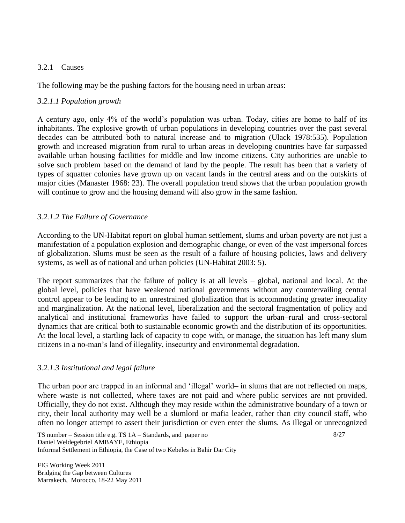## 3.2.1 Causes

The following may be the pushing factors for the housing need in urban areas:

# *3.2.1.1 Population growth*

A century ago, only 4% of the world"s population was urban. Today, cities are home to half of its inhabitants. The explosive growth of urban populations in developing countries over the past several decades can be attributed both to natural increase and to migration (Ulack 1978:535). Population growth and increased migration from rural to urban areas in developing countries have far surpassed available urban housing facilities for middle and low income citizens. City authorities are unable to solve such problem based on the demand of land by the people. The result has been that a variety of types of squatter colonies have grown up on vacant lands in the central areas and on the outskirts of major cities (Manaster 1968: 23). The overall population trend shows that the urban population growth will continue to grow and the housing demand will also grow in the same fashion.

# *3.2.1.2 The Failure of Governance*

According to the UN-Habitat report on global human settlement, slums and urban poverty are not just a manifestation of a population explosion and demographic change, or even of the vast impersonal forces of globalization. Slums must be seen as the result of a failure of housing policies, laws and delivery systems, as well as of national and urban policies (UN-Habitat 2003: 5).

The report summarizes that the failure of policy is at all levels – global, national and local. At the global level, policies that have weakened national governments without any countervailing central control appear to be leading to an unrestrained globalization that is accommodating greater inequality and marginalization. At the national level, liberalization and the sectoral fragmentation of policy and analytical and institutional frameworks have failed to support the urban–rural and cross-sectoral dynamics that are critical both to sustainable economic growth and the distribution of its opportunities. At the local level, a startling lack of capacity to cope with, or manage, the situation has left many slum citizens in a no-man"s land of illegality, insecurity and environmental degradation.

# *3.2.1.3 Institutional and legal failure*

The urban poor are trapped in an informal and "illegal" world– in slums that are not reflected on maps, where waste is not collected, where taxes are not paid and where public services are not provided. Officially, they do not exist. Although they may reside within the administrative boundary of a town or city, their local authority may well be a slumlord or mafia leader, rather than city council staff, who often no longer attempt to assert their jurisdiction or even enter the slums. As illegal or unrecognized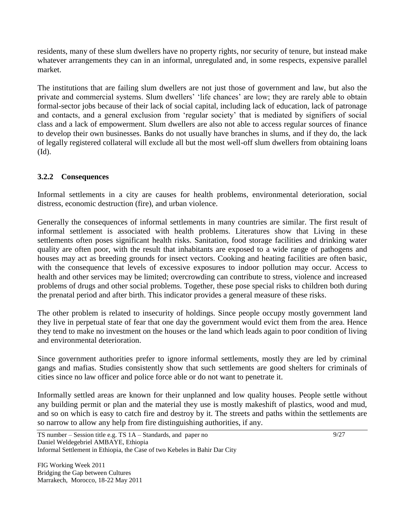residents, many of these slum dwellers have no property rights, nor security of tenure, but instead make whatever arrangements they can in an informal, unregulated and, in some respects, expensive parallel market.

The institutions that are failing slum dwellers are not just those of government and law, but also the private and commercial systems. Slum dwellers' 'life chances' are low; they are rarely able to obtain formal-sector jobs because of their lack of social capital, including lack of education, lack of patronage and contacts, and a general exclusion from "regular society" that is mediated by signifiers of social class and a lack of empowerment. Slum dwellers are also not able to access regular sources of finance to develop their own businesses. Banks do not usually have branches in slums, and if they do, the lack of legally registered collateral will exclude all but the most well-off slum dwellers from obtaining loans (Id).

# **3.2.2 Consequences**

Informal settlements in a city are causes for health problems, environmental deterioration, social distress, economic destruction (fire), and urban violence.

Generally the consequences of informal settlements in many countries are similar. The first result of informal settlement is associated with health problems. Literatures show that Living in these settlements often poses significant health risks. Sanitation, food storage facilities and drinking water quality are often poor, with the result that inhabitants are exposed to a wide range of pathogens and houses may act as breeding grounds for insect vectors. Cooking and heating facilities are often basic, with the consequence that levels of excessive exposures to indoor pollution may occur. Access to health and other services may be limited; overcrowding can contribute to stress, violence and increased problems of drugs and other social problems. Together, these pose special risks to children both during the prenatal period and after birth. This indicator provides a general measure of these risks.

The other problem is related to insecurity of holdings. Since people occupy mostly government land they live in perpetual state of fear that one day the government would evict them from the area. Hence they tend to make no investment on the houses or the land which leads again to poor condition of living and environmental deterioration.

Since government authorities prefer to ignore informal settlements, mostly they are led by criminal gangs and mafias. Studies consistently show that such settlements are good shelters for criminals of cities since no law officer and police force able or do not want to penetrate it.

Informally settled areas are known for their unplanned and low quality houses. People settle without any building permit or plan and the material they use is mostly makeshift of plastics, wood and mud, and so on which is easy to catch fire and destroy by it. The streets and paths within the settlements are so narrow to allow any help from fire distinguishing authorities, if any.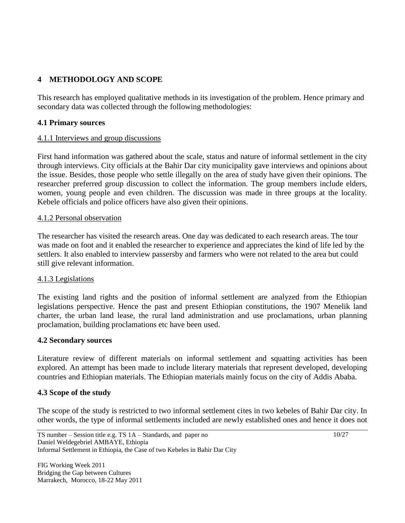# **4 METHODOLOGY AND SCOPE**

This research has employed qualitative methods in its investigation of the problem. Hence primary and secondary data was collected through the following methodologies:

## **4.1 Primary sources**

### 4.1.1 Interviews and group discussions

First hand information was gathered about the scale, status and nature of informal settlement in the city through interviews. City officials at the Bahir Dar city municipality gave interviews and opinions about the issue. Besides, those people who settle illegally on the area of study have given their opinions. The researcher preferred group discussion to collect the information. The group members include elders, women, young people and even children. The discussion was made in three groups at the locality. Kebele officials and police officers have also given their opinions.

#### 4.1.2 Personal observation

The researcher has visited the research areas. One day was dedicated to each research areas. The tour was made on foot and it enabled the researcher to experience and appreciates the kind of life led by the settlers. It also enabled to interview passersby and farmers who were not related to the area but could still give relevant information.

#### 4.1.3 Legislations

The existing land rights and the position of informal settlement are analyzed from the Ethiopian legislations perspective. Hence the past and present Ethiopian constitutions, the 1907 Menelik land charter, the urban land lease, the rural land administration and use proclamations, urban planning proclamation, building proclamations etc have been used.

#### **4.2 Secondary sources**

Literature review of different materials on informal settlement and squatting activities has been explored. An attempt has been made to include literary materials that represent developed, developing countries and Ethiopian materials. The Ethiopian materials mainly focus on the city of Addis Ababa.

#### **4.3 Scope of the study**

The scope of the study is restricted to two informal settlement cites in two kebeles of Bahir Dar city. In other words, the type of informal settlements included are newly established ones and hence it does not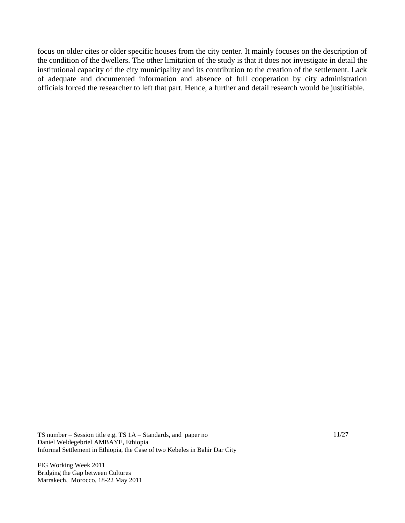focus on older cites or older specific houses from the city center. It mainly focuses on the description of the condition of the dwellers. The other limitation of the study is that it does not investigate in detail the institutional capacity of the city municipality and its contribution to the creation of the settlement. Lack of adequate and documented information and absence of full cooperation by city administration officials forced the researcher to left that part. Hence, a further and detail research would be justifiable.

TS number – Session title e.g. TS 1A – Standards, and paper no Daniel Weldegebriel AMBAYE, Ethiopia Informal Settlement in Ethiopia, the Case of two Kebeles in Bahir Dar City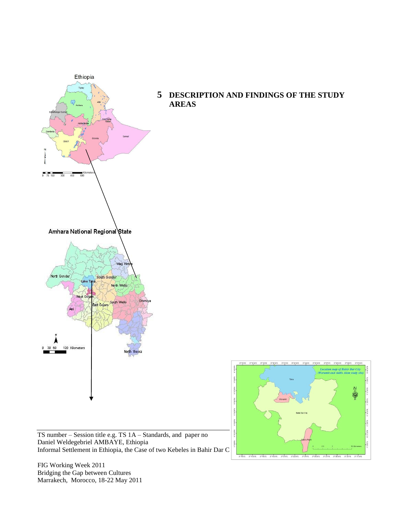

**5 DESCRIPTION AND FINDINGS OF THE STUDY** 

Daniel Weldegebriel AMBAYE, Ethiopia Informal Settlement in Ethiopia, the Case of two Kebeles in Bahir Dar C

 $\overline{2}$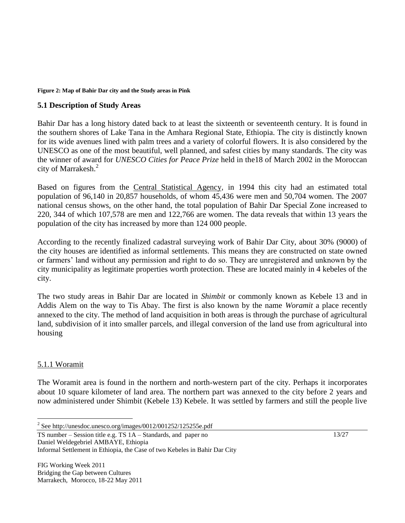#### **Figure 2: Map of Bahir Dar city and the Study areas in Pink**

#### **5.1 Description of Study Areas**

Bahir Dar has a long history dated back to at least the sixteenth or seventeenth century. It is found in the southern shores of Lake Tana in the Amhara Regional State, Ethiopia. The city is distinctly known for its wide avenues lined with palm trees and a variety of colorful flowers. It is also considered by the UNESCO as one of the most beautiful, well planned, and safest cities by many standards. The city was the winner of award for *UNESCO Cities for Peace Prize* held in the18 of March 2002 in the Moroccan city of Marrakesh.<sup>2</sup>

Based on figures from the [Central Statistical Agency](http://en.wikipedia.org/wiki/Central_Statistical_Agency_%28Ethiopia%29), in 1994 this city had an estimated total population of 96,140 in 20,857 households, of whom 45,436 were men and 50,704 women. The 2007 national census shows, on the other hand, the total population of Bahir Dar Special Zone increased to 220, 344 of which 107,578 are men and 122,766 are women. The data reveals that within 13 years the population of the city has increased by more than 124 000 people.

According to the recently finalized cadastral surveying work of Bahir Dar City, about 30% (9000) of the city houses are identified as informal settlements. This means they are constructed on state owned or farmers" land without any permission and right to do so. They are unregistered and unknown by the city municipality as legitimate properties worth protection. These are located mainly in 4 kebeles of the city.

The two study areas in Bahir Dar are located in *Shimbit* or commonly known as Kebele 13 and in Addis Alem on the way to Tis Abay. The first is also known by the name *Woramit* a place recently annexed to the city. The method of land acquisition in both areas is through the purchase of agricultural land, subdivision of it into smaller parcels, and illegal conversion of the land use from agricultural into housing

#### 5.1.1 Woramit

 $\overline{a}$ 

The Woramit area is found in the northern and north-western part of the city. Perhaps it incorporates about 10 square kilometer of land area. The northern part was annexed to the city before 2 years and now administered under Shimbit (Kebele 13) Kebele. It was settled by farmers and still the people live

TS number – Session title e.g. TS 1A – Standards, and paper no Daniel Weldegebriel AMBAYE, Ethiopia

Informal Settlement in Ethiopia, the Case of two Kebeles in Bahir Dar City

FIG Working Week 2011 Bridging the Gap between Cultures Marrakech, Morocco, 18-22 May 2011 13/27

<sup>&</sup>lt;sup>2</sup> See http://unesdoc.unesco.org/images/0012/001252/125255e.pdf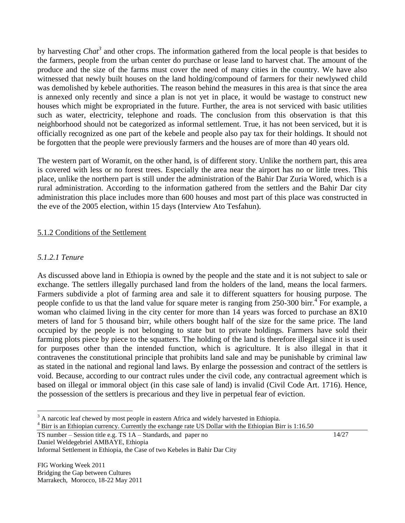by harvesting *Chat<sup>3</sup>* and other crops. The information gathered from the local people is that besides to the farmers, people from the urban center do purchase or lease land to harvest chat. The amount of the produce and the size of the farms must cover the need of many cities in the country. We have also witnessed that newly built houses on the land holding/compound of farmers for their newlywed child was demolished by kebele authorities. The reason behind the measures in this area is that since the area is annexed only recently and since a plan is not yet in place, it would be wastage to construct new houses which might be expropriated in the future. Further, the area is not serviced with basic utilities such as water, electricity, telephone and roads. The conclusion from this observation is that this neighborhood should not be categorized as informal settlement. True, it has not been serviced, but it is officially recognized as one part of the kebele and people also pay tax for their holdings. It should not be forgotten that the people were previously farmers and the houses are of more than 40 years old.

The western part of Woramit, on the other hand, is of different story. Unlike the northern part, this area is covered with less or no forest trees. Especially the area near the airport has no or little trees. This place, unlike the northern part is still under the administration of the Bahir Dar Zuria Wored, which is a rural administration. According to the information gathered from the settlers and the Bahir Dar city administration this place includes more than 600 houses and most part of this place was constructed in the eve of the 2005 election, within 15 days (Interview Ato Tesfahun).

#### 5.1.2 Conditions of the Settlement

#### *5.1.2.1 Tenure*

 $\overline{a}$ 

As discussed above land in Ethiopia is owned by the people and the state and it is not subject to sale or exchange. The settlers illegally purchased land from the holders of the land, means the local farmers. Farmers subdivide a plot of farming area and sale it to different squatters for housing purpose. The people confide to us that the land value for square meter is ranging from 250-300 birr.<sup>4</sup> For example, a woman who claimed living in the city center for more than 14 years was forced to purchase an 8X10 meters of land for 5 thousand birr, while others bought half of the size for the same price. The land occupied by the people is not belonging to state but to private holdings. Farmers have sold their farming plots piece by piece to the squatters. The holding of the land is therefore illegal since it is used for purposes other than the intended function, which is agriculture. It is also illegal in that it contravenes the constitutional principle that prohibits land sale and may be punishable by criminal law as stated in the national and regional land laws. By enlarge the possession and contract of the settlers is void. Because, according to our contract rules under the civil code, any contractual agreement which is based on illegal or immoral object (in this case sale of land) is invalid (Civil Code Art. 1716). Hence, the possession of the settlers is precarious and they live in perpetual fear of eviction.

TS number – Session title e.g. TS 1A – Standards, and paper no Daniel Weldegebriel AMBAYE, Ethiopia

 $3$  A narcotic leaf chewed by most people in eastern Africa and widely harvested in Ethiopia.

<sup>&</sup>lt;sup>4</sup> Birr is an Ethiopian currency. Currently the exchange rate US Dollar with the Ethiopian Birr is 1:16.50

Informal Settlement in Ethiopia, the Case of two Kebeles in Bahir Dar City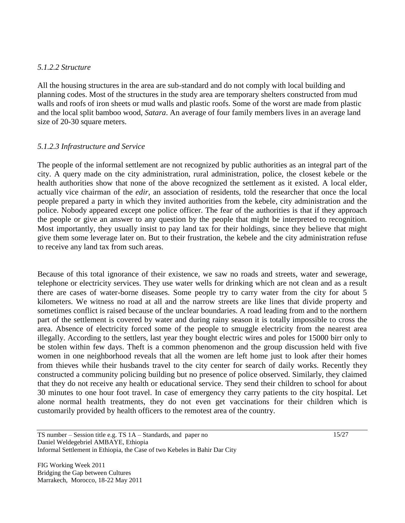### *5.1.2.2 Structure*

All the housing structures in the area are sub-standard and do not comply with local building and planning codes. Most of the structures in the study area are temporary shelters constructed from mud walls and roofs of iron sheets or mud walls and plastic roofs. Some of the worst are made from plastic and the local split bamboo wood, *Satara*. An average of four family members lives in an average land size of 20-30 square meters.

# *5.1.2.3 Infrastructure and Service*

The people of the informal settlement are not recognized by public authorities as an integral part of the city. A query made on the city administration, rural administration, police, the closest kebele or the health authorities show that none of the above recognized the settlement as it existed. A local elder, actually vice chairman of the *edir,* an association of residents, told the researcher that once the local people prepared a party in which they invited authorities from the kebele, city administration and the police. Nobody appeared except one police officer. The fear of the authorities is that if they approach the people or give an answer to any question by the people that might be interpreted to recognition. Most importantly, they usually insist to pay land tax for their holdings, since they believe that might give them some leverage later on. But to their frustration, the kebele and the city administration refuse to receive any land tax from such areas.

Because of this total ignorance of their existence, we saw no roads and streets, water and sewerage, telephone or electricity services. They use water wells for drinking which are not clean and as a result there are cases of water-borne diseases. Some people try to carry water from the city for about 5 kilometers. We witness no road at all and the narrow streets are like lines that divide property and sometimes conflict is raised because of the unclear boundaries. A road leading from and to the northern part of the settlement is covered by water and during rainy season it is totally impossible to cross the area. Absence of electricity forced some of the people to smuggle electricity from the nearest area illegally. According to the settlers, last year they bought electric wires and poles for 15000 birr only to be stolen within few days. Theft is a common phenomenon and the group discussion held with five women in one neighborhood reveals that all the women are left home just to look after their homes from thieves while their husbands travel to the city center for search of daily works. Recently they constructed a community policing building but no presence of police observed. Similarly, they claimed that they do not receive any health or educational service. They send their children to school for about 30 minutes to one hour foot travel. In case of emergency they carry patients to the city hospital. Let alone normal health treatments, they do not even get vaccinations for their children which is customarily provided by health officers to the remotest area of the country.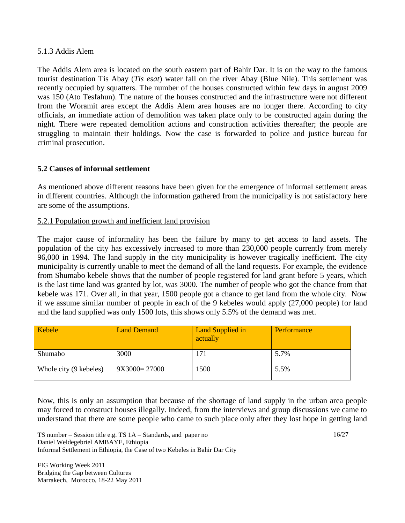#### 5.1.3 Addis Alem

The Addis Alem area is located on the south eastern part of Bahir Dar. It is on the way to the famous tourist destination Tis Abay (*Tis esat*) water fall on the river Abay (Blue Nile). This settlement was recently occupied by squatters. The number of the houses constructed within few days in august 2009 was 150 (Ato Tesfahun). The nature of the houses constructed and the infrastructure were not different from the Woramit area except the Addis Alem area houses are no longer there. According to city officials, an immediate action of demolition was taken place only to be constructed again during the night. There were repeated demolition actions and construction activities thereafter; the people are struggling to maintain their holdings. Now the case is forwarded to police and justice bureau for criminal prosecution.

# **5.2 Causes of informal settlement**

As mentioned above different reasons have been given for the emergence of informal settlement areas in different countries. Although the information gathered from the municipality is not satisfactory here are some of the assumptions.

### 5.2.1 Population growth and inefficient land provision

The major cause of informality has been the failure by many to get access to land assets. The population of the city has excessively increased to more than 230,000 people currently from merely 96,000 in 1994. The land supply in the city municipality is however tragically inefficient. The city municipality is currently unable to meet the demand of all the land requests. For example, the evidence from Shumabo kebele shows that the number of people registered for land grant before 5 years, which is the last time land was granted by lot, was 3000. The number of people who got the chance from that kebele was 171. Over all, in that year, 1500 people got a chance to get land from the whole city. Now if we assume similar number of people in each of the 9 kebeles would apply (27,000 people) for land and the land supplied was only 1500 lots, this shows only 5.5% of the demand was met.

| Kebele                 | <b>Land Demand</b> | Land Supplied in<br>actually | Performance |
|------------------------|--------------------|------------------------------|-------------|
| Shumabo                | 3000               | 171                          | 5.7%        |
| Whole city (9 kebeles) | $9X3000=27000$     | 1500                         | 5.5%        |

Now, this is only an assumption that because of the shortage of land supply in the urban area people may forced to construct houses illegally. Indeed, from the interviews and group discussions we came to understand that there are some people who came to such place only after they lost hope in getting land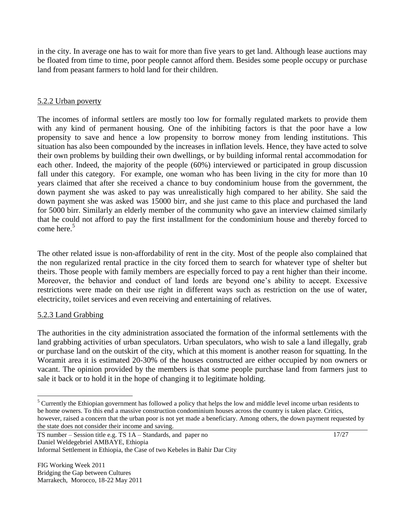in the city. In average one has to wait for more than five years to get land. Although lease auctions may be floated from time to time, poor people cannot afford them. Besides some people occupy or purchase land from peasant farmers to hold land for their children.

## 5.2.2 Urban poverty

The incomes of informal settlers are mostly too low for formally regulated markets to provide them with any kind of permanent housing. One of the inhibiting factors is that the poor have a low propensity to save and hence a low propensity to borrow money from lending institutions. This situation has also been compounded by the increases in inflation levels. Hence, they have acted to solve their own problems by building their own dwellings, or by building informal rental accommodation for each other. Indeed, the majority of the people (60%) interviewed or participated in group discussion fall under this category. For example, one woman who has been living in the city for more than 10 years claimed that after she received a chance to buy condominium house from the government, the down payment she was asked to pay was unrealistically high compared to her ability. She said the down payment she was asked was 15000 birr, and she just came to this place and purchased the land for 5000 birr. Similarly an elderly member of the community who gave an interview claimed similarly that he could not afford to pay the first installment for the condominium house and thereby forced to come here. $5$ 

The other related issue is non-affordability of rent in the city. Most of the people also complained that the non regularized rental practice in the city forced them to search for whatever type of shelter but theirs. Those people with family members are especially forced to pay a rent higher than their income. Moreover, the behavior and conduct of land lords are beyond one"s ability to accept. Excessive restrictions were made on their use right in different ways such as restriction on the use of water, electricity, toilet services and even receiving and entertaining of relatives.

#### 5.2.3 Land Grabbing

 $\overline{a}$ 

The authorities in the city administration associated the formation of the informal settlements with the land grabbing activities of urban speculators. Urban speculators, who wish to sale a land illegally, grab or purchase land on the outskirt of the city, which at this moment is another reason for squatting. In the Woramit area it is estimated 20-30% of the houses constructed are either occupied by non owners or vacant. The opinion provided by the members is that some people purchase land from farmers just to sale it back or to hold it in the hope of changing it to legitimate holding.

<sup>&</sup>lt;sup>5</sup> Currently the Ethiopian government has followed a policy that helps the low and middle level income urban residents to be home owners. To this end a massive construction condominium houses across the country is taken place. Critics, however, raised a concern that the urban poor is not yet made a beneficiary. Among others, the down payment requested by the state does not consider their income and saving.

TS number – Session title e.g. TS 1A – Standards, and paper no Daniel Weldegebriel AMBAYE, Ethiopia

Informal Settlement in Ethiopia, the Case of two Kebeles in Bahir Dar City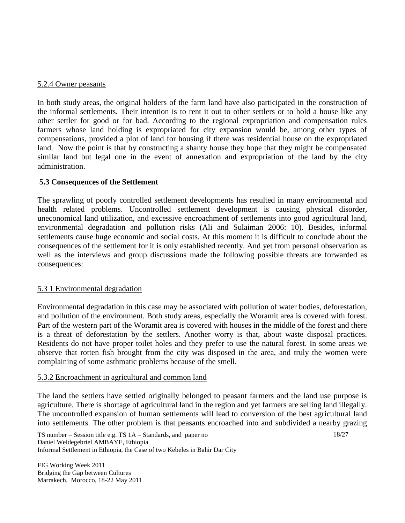#### 5.2.4 Owner peasants

In both study areas, the original holders of the farm land have also participated in the construction of the informal settlements. Their intention is to rent it out to other settlers or to hold a house like any other settler for good or for bad. According to the regional expropriation and compensation rules farmers whose land holding is expropriated for city expansion would be, among other types of compensations, provided a plot of land for housing if there was residential house on the expropriated land. Now the point is that by constructing a shanty house they hope that they might be compensated similar land but legal one in the event of annexation and expropriation of the land by the city administration.

#### **5.3 Consequences of the Settlement**

The sprawling of poorly controlled settlement developments has resulted in many environmental and health related problems. Uncontrolled settlement development is causing physical disorder, uneconomical land utilization, and excessive encroachment of settlements into good agricultural land, environmental degradation and pollution risks (Ali and Sulaiman 2006: 10). Besides, informal settlements cause huge economic and social costs. At this moment it is difficult to conclude about the consequences of the settlement for it is only established recently. And yet from personal observation as well as the interviews and group discussions made the following possible threats are forwarded as consequences:

#### 5.3 1 Environmental degradation

Environmental degradation in this case may be associated with pollution of water bodies, deforestation, and pollution of the environment. Both study areas, especially the Woramit area is covered with forest. Part of the western part of the Woramit area is covered with houses in the middle of the forest and there is a threat of deforestation by the settlers. Another worry is that, about waste disposal practices. Residents do not have proper toilet holes and they prefer to use the natural forest. In some areas we observe that rotten fish brought from the city was disposed in the area, and truly the women were complaining of some asthmatic problems because of the smell.

#### 5.3.2 Encroachment in agricultural and common land

The land the settlers have settled originally belonged to peasant farmers and the land use purpose is agriculture. There is shortage of agricultural land in the region and yet farmers are selling land illegally. The uncontrolled expansion of human settlements will lead to conversion of the best agricultural land into settlements. The other problem is that peasants encroached into and subdivided a nearby grazing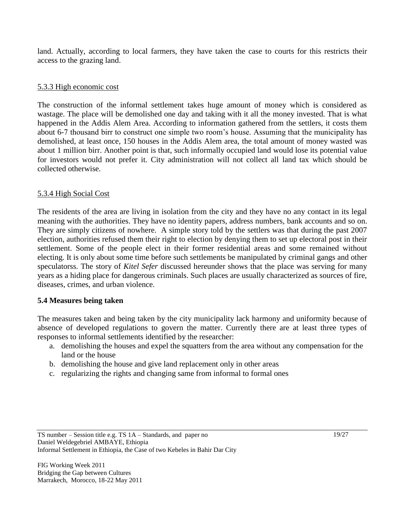land. Actually, according to local farmers, they have taken the case to courts for this restricts their access to the grazing land.

## 5.3.3 High economic cost

The construction of the informal settlement takes huge amount of money which is considered as wastage. The place will be demolished one day and taking with it all the money invested. That is what happened in the Addis Alem Area. According to information gathered from the settlers, it costs them about 6-7 thousand birr to construct one simple two room"s house. Assuming that the municipality has demolished, at least once, 150 houses in the Addis Alem area, the total amount of money wasted was about 1 million birr. Another point is that, such informally occupied land would lose its potential value for investors would not prefer it. City administration will not collect all land tax which should be collected otherwise.

#### 5.3.4 High Social Cost

The residents of the area are living in isolation from the city and they have no any contact in its legal meaning with the authorities. They have no identity papers, address numbers, bank accounts and so on. They are simply citizens of nowhere. A simple story told by the settlers was that during the past 2007 election, authorities refused them their right to election by denying them to set up electoral post in their settlement. Some of the people elect in their former residential areas and some remained without electing. It is only about some time before such settlements be manipulated by criminal gangs and other speculatorss. The story of *Kitel Sefer* discussed hereunder shows that the place was serving for many years as a hiding place for dangerous criminals. Such places are usually characterized as sources of fire, diseases, crimes, and urban violence.

#### **5.4 Measures being taken**

The measures taken and being taken by the city municipality lack harmony and uniformity because of absence of developed regulations to govern the matter. Currently there are at least three types of responses to informal settlements identified by the researcher:

- a. demolishing the houses and expel the squatters from the area without any compensation for the land or the house
- b. demolishing the house and give land replacement only in other areas
- c. regularizing the rights and changing same from informal to formal ones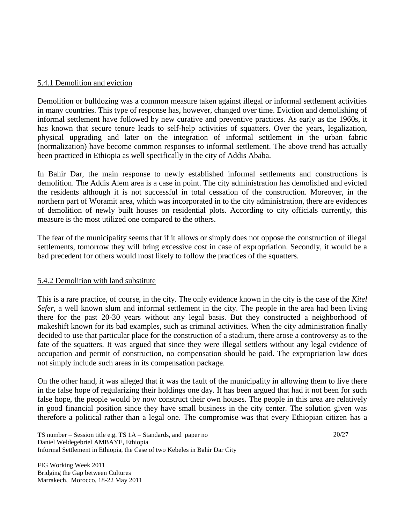### 5.4.1 Demolition and eviction

Demolition or bulldozing was a common measure taken against illegal or informal settlement activities in many countries. This type of response has, however, changed over time. Eviction and demolishing of informal settlement have followed by new curative and preventive practices. As early as the 1960s, it has known that secure tenure leads to self-help activities of squatters. Over the years, legalization, physical upgrading and later on the integration of informal settlement in the urban fabric (normalization) have become common responses to informal settlement. The above trend has actually been practiced in Ethiopia as well specifically in the city of Addis Ababa.

In Bahir Dar, the main response to newly established informal settlements and constructions is demolition. The Addis Alem area is a case in point. The city administration has demolished and evicted the residents although it is not successful in total cessation of the construction. Moreover, in the northern part of Woramit area, which was incorporated in to the city administration, there are evidences of demolition of newly built houses on residential plots. According to city officials currently, this measure is the most utilized one compared to the others.

The fear of the municipality seems that if it allows or simply does not oppose the construction of illegal settlements, tomorrow they will bring excessive cost in case of expropriation. Secondly, it would be a bad precedent for others would most likely to follow the practices of the squatters.

#### 5.4.2 Demolition with land substitute

This is a rare practice, of course, in the city. The only evidence known in the city is the case of the *Kitel Sefer*, a well known slum and informal settlement in the city. The people in the area had been living there for the past 20-30 years without any legal basis. But they constructed a neighborhood of makeshift known for its bad examples, such as criminal activities. When the city administration finally decided to use that particular place for the construction of a stadium, there arose a controversy as to the fate of the squatters. It was argued that since they were illegal settlers without any legal evidence of occupation and permit of construction, no compensation should be paid. The expropriation law does not simply include such areas in its compensation package.

On the other hand, it was alleged that it was the fault of the municipality in allowing them to live there in the false hope of regularizing their holdings one day. It has been argued that had it not been for such false hope, the people would by now construct their own houses. The people in this area are relatively in good financial position since they have small business in the city center. The solution given was therefore a political rather than a legal one. The compromise was that every Ethiopian citizen has a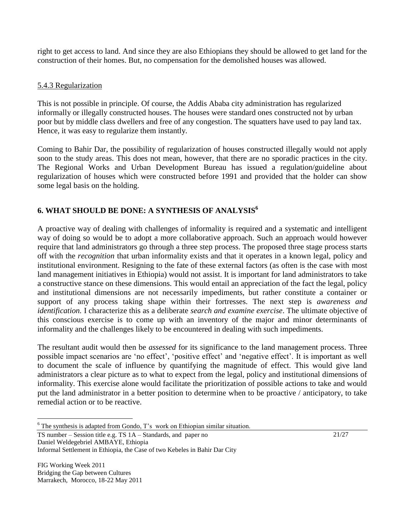right to get access to land. And since they are also Ethiopians they should be allowed to get land for the construction of their homes. But, no compensation for the demolished houses was allowed.

# 5.4.3 Regularization

This is not possible in principle. Of course, the Addis Ababa city administration has regularized informally or illegally constructed houses. The houses were standard ones constructed not by urban poor but by middle class dwellers and free of any congestion. The squatters have used to pay land tax. Hence, it was easy to regularize them instantly.

Coming to Bahir Dar, the possibility of regularization of houses constructed illegally would not apply soon to the study areas. This does not mean, however, that there are no sporadic practices in the city. The Regional Works and Urban Development Bureau has issued a regulation/guideline about regularization of houses which were constructed before 1991 and provided that the holder can show some legal basis on the holding.

# **6. WHAT SHOULD BE DONE: A SYNTHESIS OF ANALYSIS<sup>6</sup>**

A proactive way of dealing with challenges of informality is required and a systematic and intelligent way of doing so would be to adopt a more collaborative approach. Such an approach would however require that land administrators go through a three step process. The proposed three stage process starts off with the *recognition* that urban informality exists and that it operates in a known legal, policy and institutional environment. Resigning to the fate of these external factors (as often is the case with most land management initiatives in Ethiopia) would not assist. It is important for land administrators to take a constructive stance on these dimensions. This would entail an appreciation of the fact the legal, policy and institutional dimensions are not necessarily impediments, but rather constitute a container or support of any process taking shape within their fortresses. The next step is *awareness and identification.* I characterize this as a deliberate *search and examine exercise*. The ultimate objective of this conscious exercise is to come up with an inventory of the major and minor determinants of informality and the challenges likely to be encountered in dealing with such impediments.

The resultant audit would then be *assessed* for its significance to the land management process. Three possible impact scenarios are "no effect", "positive effect" and "negative effect". It is important as well to document the scale of influence by quantifying the magnitude of effect. This would give land administrators a clear picture as to what to expect from the legal, policy and institutional dimensions of informality. This exercise alone would facilitate the prioritization of possible actions to take and would put the land administrator in a better position to determine when to be proactive / anticipatory, to take remedial action or to be reactive.

TS number – Session title e.g. TS 1A – Standards, and paper no Daniel Weldegebriel AMBAYE, Ethiopia

FIG Working Week 2011 Bridging the Gap between Cultures Marrakech, Morocco, 18-22 May 2011

 $\overline{a}$ 

21/27

 $6$  The synthesis is adapted from Gondo, T's work on Ethiopian similar situation.

Informal Settlement in Ethiopia, the Case of two Kebeles in Bahir Dar City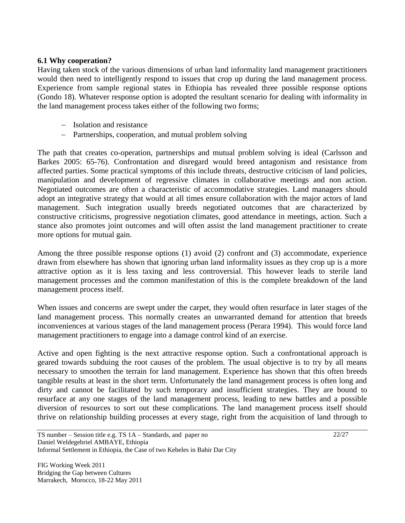### **6.1 Why cooperation?**

Having taken stock of the various dimensions of urban land informality land management practitioners would then need to intelligently respond to issues that crop up during the land management process. Experience from sample regional states in Ethiopia has revealed three possible response options (Gondo 18). Whatever response option is adopted the resultant scenario for dealing with informality in the land management process takes either of the following two forms;

- Isolation and resistance
- Partnerships, cooperation, and mutual problem solving

The path that creates co-operation, partnerships and mutual problem solving is ideal (Carlsson and Barkes 2005: 65-76). Confrontation and disregard would breed antagonism and resistance from affected parties. Some practical symptoms of this include threats, destructive criticism of land policies, manipulation and development of regressive climates in collaborative meetings and non action. Negotiated outcomes are often a characteristic of accommodative strategies. Land managers should adopt an integrative strategy that would at all times ensure collaboration with the major actors of land management. Such integration usually breeds negotiated outcomes that are characterized by constructive criticisms, progressive negotiation climates, good attendance in meetings, action. Such a stance also promotes joint outcomes and will often assist the land management practitioner to create more options for mutual gain.

Among the three possible response options (1) avoid (2) confront and (3) accommodate, experience drawn from elsewhere has shown that ignoring urban land informality issues as they crop up is a more attractive option as it is less taxing and less controversial. This however leads to sterile land management processes and the common manifestation of this is the complete breakdown of the land management process itself.

When issues and concerns are swept under the carpet, they would often resurface in later stages of the land management process. This normally creates an unwarranted demand for attention that breeds inconveniences at various stages of the land management process (Perara 1994). This would force land management practitioners to engage into a damage control kind of an exercise.

Active and open fighting is the next attractive response option. Such a confrontational approach is geared towards subduing the root causes of the problem. The usual objective is to try by all means necessary to smoothen the terrain for land management. Experience has shown that this often breeds tangible results at least in the short term. Unfortunately the land management process is often long and dirty and cannot be facilitated by such temporary and insufficient strategies. They are bound to resurface at any one stages of the land management process, leading to new battles and a possible diversion of resources to sort out these complications. The land management process itself should thrive on relationship building processes at every stage, right from the acquisition of land through to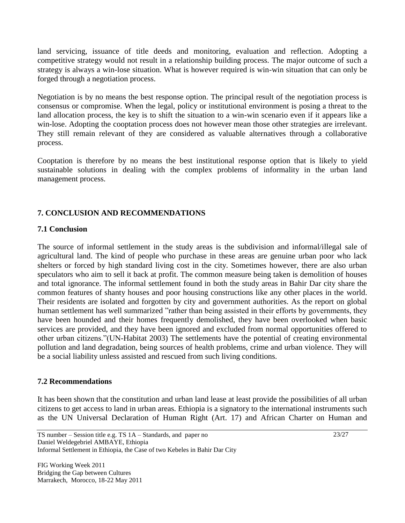land servicing, issuance of title deeds and monitoring, evaluation and reflection. Adopting a competitive strategy would not result in a relationship building process. The major outcome of such a strategy is always a win-lose situation. What is however required is win-win situation that can only be forged through a negotiation process.

Negotiation is by no means the best response option. The principal result of the negotiation process is consensus or compromise. When the legal, policy or institutional environment is posing a threat to the land allocation process, the key is to shift the situation to a win-win scenario even if it appears like a win-lose. Adopting the cooptation process does not however mean those other strategies are irrelevant. They still remain relevant of they are considered as valuable alternatives through a collaborative process.

Cooptation is therefore by no means the best institutional response option that is likely to yield sustainable solutions in dealing with the complex problems of informality in the urban land management process.

# **7. CONCLUSION AND RECOMMENDATIONS**

### **7.1 Conclusion**

The source of informal settlement in the study areas is the subdivision and informal/illegal sale of agricultural land. The kind of people who purchase in these areas are genuine urban poor who lack shelters or forced by high standard living cost in the city. Sometimes however, there are also urban speculators who aim to sell it back at profit. The common measure being taken is demolition of houses and total ignorance. The informal settlement found in both the study areas in Bahir Dar city share the common features of shanty houses and poor housing constructions like any other places in the world. Their residents are isolated and forgotten by city and government authorities. As the report on global human settlement has well summarized "rather than being assisted in their efforts by governments, they have been hounded and their homes frequently demolished, they have been overlooked when basic services are provided, and they have been ignored and excluded from normal opportunities offered to other urban citizens."(UN-Habitat 2003) The settlements have the potential of creating environmental pollution and land degradation, being sources of health problems, crime and urban violence. They will be a social liability unless assisted and rescued from such living conditions.

# **7.2 Recommendations**

It has been shown that the constitution and urban land lease at least provide the possibilities of all urban citizens to get access to land in urban areas. Ethiopia is a signatory to the international instruments such as the UN Universal Declaration of Human Right (Art. 17) and African Charter on Human and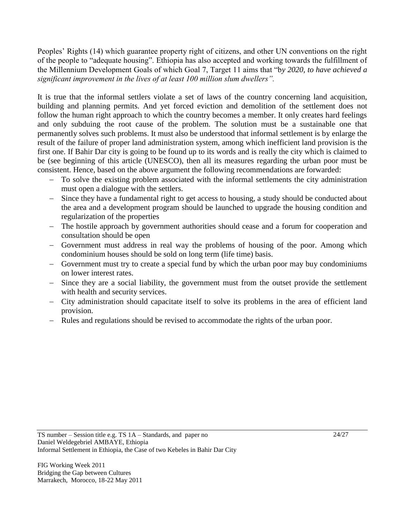Peoples" Rights (14) which guarantee property right of citizens, and other UN conventions on the right of the people to "adequate housing". Ethiopia has also accepted and working towards the fulfillment of the Millennium Development Goals of which Goal 7, Target 11 aims that "b*y 2020, to have achieved a significant improvement in the lives of at least 100 million slum dwellers".*

It is true that the informal settlers violate a set of laws of the country concerning land acquisition, building and planning permits. And yet forced eviction and demolition of the settlement does not follow the human right approach to which the country becomes a member. It only creates hard feelings and only subduing the root cause of the problem. The solution must be a sustainable one that permanently solves such problems. It must also be understood that informal settlement is by enlarge the result of the failure of proper land administration system, among which inefficient land provision is the first one. If Bahir Dar city is going to be found up to its words and is really the city which is claimed to be (see beginning of this article (UNESCO), then all its measures regarding the urban poor must be consistent. Hence, based on the above argument the following recommendations are forwarded:

- To solve the existing problem associated with the informal settlements the city administration must open a dialogue with the settlers.
- Since they have a fundamental right to get access to housing, a study should be conducted about the area and a development program should be launched to upgrade the housing condition and regularization of the properties
- The hostile approach by government authorities should cease and a forum for cooperation and consultation should be open
- Government must address in real way the problems of housing of the poor. Among which condominium houses should be sold on long term (life time) basis.
- Government must try to create a special fund by which the urban poor may buy condominiums on lower interest rates.
- Since they are a social liability, the government must from the outset provide the settlement with health and security services.
- City administration should capacitate itself to solve its problems in the area of efficient land provision.
- Rules and regulations should be revised to accommodate the rights of the urban poor.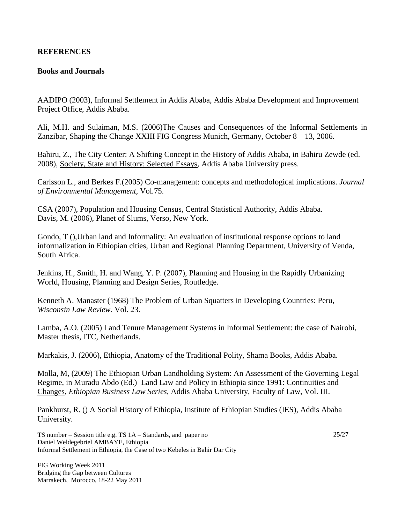## **REFERENCES**

#### **Books and Journals**

AADIPO (2003), Informal Settlement in Addis Ababa, Addis Ababa Development and Improvement Project Office, Addis Ababa.

Ali, M.H. and Sulaiman, M.S. (2006)The Causes and Consequences of the Informal Settlements in Zanzibar, Shaping the Change XXIII FIG Congress Munich, Germany, October 8 – 13, 2006.

Bahiru, Z., The City Center: A Shifting Concept in the History of Addis Ababa, in Bahiru Zewde (ed. 2008), Society, State and History: Selected Essays, Addis Ababa University press.

Carlsson L., and Berkes F.(2005) Co-management: concepts and methodological implications. *Journal of Environmental Management,* Vol*.*75.

CSA (2007), Population and Housing Census, Central Statistical Authority, Addis Ababa. Davis, M. (2006), Planet of Slums, Verso, New York.

Gondo, T (),Urban land and Informality: An evaluation of institutional response options to land informalization in Ethiopian cities, Urban and Regional Planning Department, University of Venda, South Africa.

Jenkins, H., Smith, H. and Wang, Y. P. (2007), Planning and Housing in the Rapidly Urbanizing World, Housing, Planning and Design Series, Routledge.

Kenneth A. Manaster (1968) The Problem of Urban Squatters in Developing Countries: Peru, *Wisconsin Law Review.* Vol. 23.

Lamba, A.O. (2005) Land Tenure Management Systems in Informal Settlement: the case of Nairobi, Master thesis, ITC, Netherlands.

Markakis, J. (2006), Ethiopia, Anatomy of the Traditional Polity, Shama Books, Addis Ababa.

Molla, M, (2009) The Ethiopian Urban Landholding System: An Assessment of the Governing Legal Regime, in Muradu Abdo (Ed.) Land Law and Policy in Ethiopia since 1991: Continuities and Changes, *Ethiopian Business Law Series,* Addis Ababa University, Faculty of Law, Vol. III.

Pankhurst, R. () A Social History of Ethiopia, Institute of Ethiopian Studies (IES), Addis Ababa University.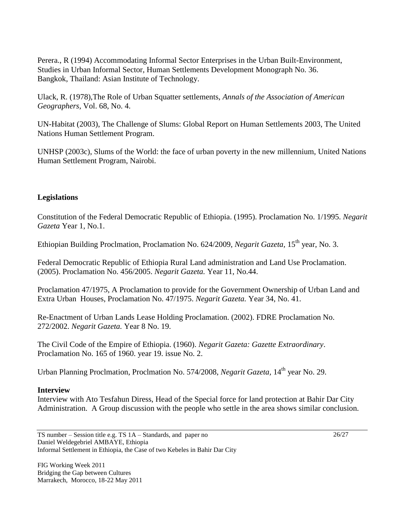Perera., R (1994) Accommodating Informal Sector Enterprises in the Urban Built-Environment, Studies in Urban Informal Sector, Human Settlements Development Monograph No. 36. Bangkok, Thailand: Asian Institute of Technology.

Ulack, R. (1978),The Role of Urban Squatter settlements, *Annals of the Association of American Geographers,* Vol. 68, No. 4.

UN-Habitat (2003), The Challenge of Slums: Global Report on Human Settlements 2003, The United Nations Human Settlement Program.

UNHSP (2003c), Slums of the World: the face of urban poverty in the new millennium, United Nations Human Settlement Program, Nairobi.

### **Legislations**

Constitution of the Federal Democratic Republic of Ethiopia. (1995). Proclamation No. 1/1995. *Negarit Gazeta* Year 1, No.1.

Ethiopian Building Proclmation, Proclamation No. 624/2009, *Negarit Gazeta*, 15<sup>th</sup> vear, No. 3.

Federal Democratic Republic of Ethiopia Rural Land administration and Land Use Proclamation. (2005). Proclamation No. 456/2005. *Negarit Gazeta.* Year 11, No.44.

Proclamation 47/1975, A Proclamation to provide for the Government Ownership of Urban Land and Extra Urban Houses, Proclamation No. 47/1975. *Negarit Gazeta.* Year 34, No. 41.

Re-Enactment of Urban Lands Lease Holding Proclamation. (2002). FDRE Proclamation No. 272/2002. *Negarit Gazeta.* Year 8 No. 19.

The Civil Code of the Empire of Ethiopia. (1960). *Negarit Gazeta: Gazette Extraordinary*. Proclamation No. 165 of 1960. year 19. issue No. 2.

Urban Planning Proclmation, Proclmation No. 574/2008, *Negarit Gazeta*, 14<sup>th</sup> year No. 29.

#### **Interview**

Interview with Ato Tesfahun Diress, Head of the Special force for land protection at Bahir Dar City Administration. A Group discussion with the people who settle in the area shows similar conclusion.